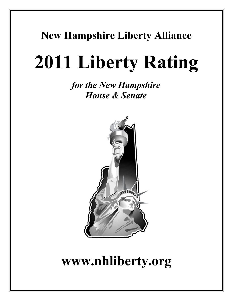# **New Hampshire Liberty Alliance**

# **2011 Liberty Rating**

*for the New Hampshire House & Senate*



# **www.nhliberty.org**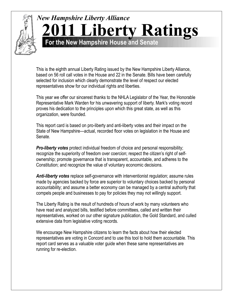## *New Hampshire Liberty Alliance* **For the New Hampshire House and Senate 2011 Liberty Ratings**

This is the eighth annual Liberty Rating issued by the New Hampshire Liberty Alliance, based on 56 roll call votes in the House and 22 in the Senate. Bills have been carefully selected for inclusion which clearly demonstrate the level of respect our elected representatives show for our individual rights and liberties.

This year we offer our sincerest thanks to the NHLA Legislator of the Year, the Honorable Representative Mark Warden for his unwavering support of liberty. Mark's voting record proves his dedication to the principles upon which this great state, as well as this organization, were founded.

This report card is based on pro-liberty and anti-liberty votes and their impact on the State of New Hampshire—actual, recorded floor votes on legislation in the House and Senate.

*Pro-liberty votes* protect individual freedom of choice and personal responsibility; recognize the superiority of freedom over coercion; respect the citizen's right of selfownership; promote governance that is transparent, accountable, and adheres to the Constitution; and recognize the value of voluntary economic decisions.

*Anti-liberty votes* replace self-governance with interventionist regulation; assume rules made by agencies backed by force are superior to voluntary choices backed by personal accountability; and assume a better economy can be managed by a central authority that compels people and businesses to pay for policies they may not willingly support.

The Liberty Rating is the result of hundreds of hours of work by many volunteers who have read and analyzed bills, testified before committees, called and written their representatives, worked on our other signature publication, the Gold Standard, and culled extensive data from legislative voting records.

We encourage New Hampshire citizens to learn the facts about how their elected representatives are voting in Concord and to use this tool to hold them accountable. This report card serves as a valuable voter guide when these same representatives are running for re-election.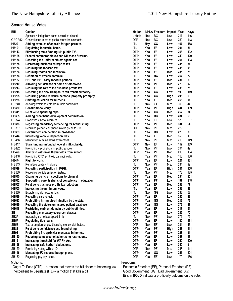#### **Scored House Votes**

|                       | <b>Scored House Votes</b>                                                                                     |                                                                  |            |                          |             |            |             |
|-----------------------|---------------------------------------------------------------------------------------------------------------|------------------------------------------------------------------|------------|--------------------------|-------------|------------|-------------|
| <b>Bill</b>           | <b>Caption</b>                                                                                                | <b>Motion</b>                                                    |            | NHLA Freedom Impact Yeas |             |            | <u>Nays</u> |
|                       | Speaker ruled gallery doors should be closed.                                                                 | <b>U</b> phold                                                   | Nay        | ВG                       | Low         | 217        | 146         |
| CACR12                | General court to define public education standards.                                                           | 0TP                                                              | Nay        | BG                       | Low         | 252        | 113         |
| <b>HB29</b>           | Adding avenues of appeals for gun permits.                                                                    | <b>ITL</b>                                                       | Nay        | GG                       | Low         | 167        | 168         |
| <b>HB101</b>          | Regulating industrial hemp.                                                                                   | <b>ITL</b>                                                       | Yea        | EF                       | Low         | 304        | 51          |
| <b>HB113</b>          | Eliminating state funding NH public TV.                                                                       | <b>OTP</b>                                                       | Yea        | EF                       | Low         | 263        | 102         |
| <b>HB125</b>          | Federal commerce clause and NH made firearms.                                                                 | <b>OTP</b>                                                       | Yea        | EF                       | Low         | 240        | 120         |
| <b>HB136</b>          | Repealing the uniform athlete agents act.                                                                     | <b>OTP</b>                                                       | Yea        | EF                       | Low         | 264        | 103         |
| <b>HB154</b>          | Decreasing business enterprise tax.                                                                           | 0TP                                                              | Yea        | EF                       | Low         | 235        | 54          |
| <b>HB156</b>          | Reducing the tobacco tax.                                                                                     | <b>OTP</b>                                                       | Yea        | EF                       | Low         | 236        | 93          |
| <b>HB166</b>          | Reducing rooms and meals tax.                                                                                 | <b>OTP</b>                                                       | Yea        | EF                       | Med         | 285        | 78          |
| <b>HB176</b>          | Definition of voter's domicile.                                                                               | <b>ITL</b>                                                       | Yea        | BG                       | Low         | 267        | 72          |
| <b>HB187</b>          | BET and BPT carry forward periods.                                                                            | <b>OTP</b>                                                       | Yea        | EF                       | Med         | 231        | 60          |
| <b>HB210</b>          | Allowing self defense at home or otherwise.                                                                   | <b>OTP</b>                                                       | Yea        | PF                       | Med         | 270        | 92          |
| HB213<br><b>HB218</b> | Reducing the rate of the business profits tax.                                                                | <b>OTP</b><br><b>OTP</b>                                         | Yea<br>Yea | EF<br>GG                 | Low         | 233<br>190 | 75<br>119   |
| <b>HB225</b>          | Repealing the New Hampshire rail transit authority.<br>Requiring police to return personal property promptly. | <b>OTP</b>                                                       | Yea        | GG                       | Low         | 295        | 69          |
| <b>HB238</b>          | Shifting education tax burdens.                                                                               | ITL                                                              | Yea        | EF                       | High<br>Med | 255        | 91          |
| HB240                 | Allowing voters to vote for multiple candidates.                                                              | IΤL                                                              | Nay        | GG                       | Med         | 303        | 44          |
| <b>HB330</b>          | Constitutional carry.                                                                                         | <b>OTP</b>                                                       | Yea        | PF                       | High        | 244        | 109         |
| <b>HB341</b>          | Relative to spending caps.                                                                                    | <b>OTP</b>                                                       | Yea        | GG                       | Med         | 257        | 84          |
| <b>HB365</b>          | Adding broadband development commission.                                                                      | ITL                                                              | Yea        | ВG                       | Low         | 284        | 68          |
| HB374                 | Prohibiting ethanol additives.                                                                                | IΤL                                                              | Yea        | EF                       | Low         | 87         | 237         |
| <b>HB378</b>          | Regarding mandatory sentencing for brandishing.                                                               | <b>OTP</b>                                                       | Yea        | PF                       | Med         | 304        | 54          |
| <b>HB387</b>          | Requiring prepaid cell phone info be given to 911.                                                            | 0TP                                                              | Nay        | PF                       | Med         | 229        | 93          |
| <b>HB389</b>          | Government competition in broadband.                                                                          | <b>ITL</b>                                                       | Yea        | BG                       | Low         | 226        | 86          |
| <b>HB414</b>          | Increasing vehicle inspection fees.                                                                           | <b>ITL</b>                                                       | Yea        | EF                       | Med         | 353        | 10          |
| <b>HB416</b>          | Mandatory immunizations exemptions.                                                                           | ITL.                                                             | Nay        | PF                       | Med         | 215        | 149         |
| <b>HB417</b>          | State funding unfunded federal milk subsidy.                                                                  | <b>OTP</b>                                                       | Nay        | EF                       | Low         | 112        | 239         |
| HB422                 | Prohibiting vaccinations in public schools.                                                                   | IΤL                                                              | Nay        | PF                       | Low         | 294        | 49          |
| <b>HB429</b>          | Ability to withdraw 16 year olds from school.                                                                 | <b>OTP</b>                                                       | Yea        | РF                       | Med         | 210        | 134         |
| HB448                 | Prohibiting OTC synthetic cannabinoids.                                                                       | ITL                                                              | Yea        | PF                       | Med         | 158        | 188         |
| <b>HB474</b>          | Right to work.                                                                                                | <b>OTP</b>                                                       | Yea        | EF                       | Low         | 221        | 131         |
| <b>HB513</b>          | Permitting death with dignity.                                                                                | IΤL                                                              | Nay        | PF                       | Med         | 234        | 99          |
| <b>HB519</b>          | Repealing participation in RGGI.                                                                              | <b>OTP</b>                                                       | Yea        | EF                       | High        | 251        | 108         |
| HB539                 | Repealing vehicle emission testing.                                                                           | IΤL                                                              | Nay        | PF                       | Med         | 178        | 125         |
| <b>HB540</b>          | Changing vehicle inspections to biennial.                                                                     | <b>OTP</b>                                                       | Yea        | EF                       | Med         | 234        | 101         |
| <b>HB542</b>          | Supporting parents rights of conscience in education.                                                         | <b>OTP</b>                                                       | Yea        | PF                       | Low         | 197        | 148         |
| <b>HB557</b>          | Relative to business profits tax reduction.                                                                   | <b>OTP</b>                                                       | Yea        | EF                       | Med         | 238        | 77          |
| <b>HB560</b>          | Increasing the minimum wage.                                                                                  | ITL                                                              | Yea        | EF                       | Low         | 238        | 89          |
| HB569                 | Establishing domestic unions.                                                                                 | ITL.                                                             | Nay        | GG                       | Low         | 232        | 59          |
| <b>HB589</b>          | Repealing card check.                                                                                         | 0TP                                                              | Yea        | EF                       | Low         | 255        | 88          |
| <b>HB623</b>          | Prohibiting hiring discrimination by the state.                                                               | 0TP                                                              | Yea        | GG                       | Med         | 219        | 79          |
| <b>HB629</b>          | Repealing the state's uninsured patient database.                                                             | <b>OTP</b><br><b>OTP</b>                                         | Yea<br>Yea | GG<br>EF                 | Low         | 279        | 87          |
| <b>HB648</b><br>SB1   | Restricting eminent domain by public utilities.<br>Repealing mandatory evergreen clauses.                     | <b>OTP</b>                                                       | Yea        | EF                       | Low         | 317<br>282 | 51<br>70    |
| <b>SB27</b>           | Increasing some boat speed limits.                                                                            | ITL.                                                             | Nay        | PF                       | Low         | 276        | 75          |
| <b>SB57</b>           | Regulating title loans.                                                                                       | <b>OTP</b>                                                       | Yea        | EF                       | Low<br>Low  | 180        | 171         |
| <b>SB58</b>           | Tax exemption for gov't housing money distributors.                                                           | 0TP                                                              | Nay        | EF                       | Low         | 281        | 47          |
| <b>SB88</b>           | Relative to self-defense and brandishing.                                                                     | <b>OTP</b>                                                       | Yea        | PF                       | High        | 248        | 111         |
| <b>SB91</b>           | Prohibiting fire sprinkler mandates in homes.                                                                 | 0TP                                                              | Yea        | PF                       | Low         | 223        | 91          |
| <b>SB120</b>          | Reducing some alcohol advertising restrictions.                                                               | <b>OTP</b>                                                       | Yea        | EF                       | Low         | 358        | 15          |
| <b>SB121</b>          | Increasing threshold for WARN Act.                                                                            | 0TP                                                              | Yea        | EF                       | Low         | 259        | 100         |
| <b>SB125</b>          | Increasing 'safe harbor' deductions.                                                                          | <b>OTP</b>                                                       | Yea        | EF                       | Low         | 340        | 9           |
| SB129                 | Prohibiting voting without ID.                                                                                | 0TP                                                              | Nay        | PF                       | Med         | 243        | 111         |
| <b>SB146</b>          | Mandating 5% reduced budget plans.                                                                            | <b>OTP</b>                                                       | Yea        | GG                       | Low         | 257        | 101         |
| SB160                 | Regulating pay day loans.                                                                                     | 0TP                                                              | Yea        | EF                       | Low         | 179        | 186         |
| Motions:              |                                                                                                               | Freedoms:                                                        |            |                          |             |            |             |
|                       |                                                                                                               |                                                                  |            |                          |             |            |             |
|                       | Ought To Pass (OTP) – a motion that moves the bill closer to becoming law.                                    | Economic Freedom (EF), Personal Freedom (PF)                     |            |                          |             |            |             |
|                       | Inexpedient To Legislate (ITL) - a motion that kills a bill.                                                  | Good Government (GG), Bad Government (BG)                        |            |                          |             |            |             |
|                       |                                                                                                               | Bills in <b>BOLD</b> indicate a pro-liberty outcome on the vote. |            |                          |             |            |             |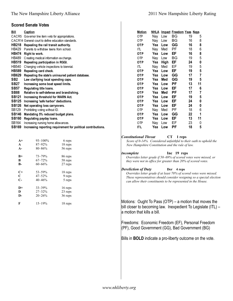#### **Scored Senate Votes**

| <u>Bill</u>                                                                               | Caption                                                                                                                                           |                                                                                                                               |                                                                                                                                                                                                                                                                     | <b>Motion</b> |     |      | NHLA Impact Freedom Yeas Nays                                                                                                                                                                                                                                                                                                                                                                                                           |    |    |                                                                       |
|-------------------------------------------------------------------------------------------|---------------------------------------------------------------------------------------------------------------------------------------------------|-------------------------------------------------------------------------------------------------------------------------------|---------------------------------------------------------------------------------------------------------------------------------------------------------------------------------------------------------------------------------------------------------------------|---------------|-----|------|-----------------------------------------------------------------------------------------------------------------------------------------------------------------------------------------------------------------------------------------------------------------------------------------------------------------------------------------------------------------------------------------------------------------------------------------|----|----|-----------------------------------------------------------------------|
|                                                                                           | CACR5 Governor line item veto for appropriations.                                                                                                 |                                                                                                                               |                                                                                                                                                                                                                                                                     | 0TP           | Nay | Low  | BG                                                                                                                                                                                                                                                                                                                                                                                                                                      | 19 | 5  |                                                                       |
|                                                                                           | CACR14 General court to define education standards.                                                                                               |                                                                                                                               |                                                                                                                                                                                                                                                                     | OTP           | Nay | Low  | BG                                                                                                                                                                                                                                                                                                                                                                                                                                      | 16 | 8  |                                                                       |
| <b>HB218</b>                                                                              | Repealing the rail transit authority.                                                                                                             |                                                                                                                               |                                                                                                                                                                                                                                                                     | <b>OTP</b>    | Yea | Low  | GG                                                                                                                                                                                                                                                                                                                                                                                                                                      | 16 | 8  |                                                                       |
| HB429                                                                                     | Parents to withdraw teens from school.                                                                                                            |                                                                                                                               |                                                                                                                                                                                                                                                                     | ITL.          | Nay | Med  | PF                                                                                                                                                                                                                                                                                                                                                                                                                                      | 18 | 6  |                                                                       |
| <b>HB474</b>                                                                              | Right to work.                                                                                                                                    |                                                                                                                               |                                                                                                                                                                                                                                                                     | <b>OTP</b>    | Yea | Low  | EF                                                                                                                                                                                                                                                                                                                                                                                                                                      | 16 | 8  |                                                                       |
| HB489                                                                                     | Creating medical information exchange.                                                                                                            |                                                                                                                               |                                                                                                                                                                                                                                                                     | 0TP           | Nay | Low  | <b>BG</b>                                                                                                                                                                                                                                                                                                                                                                                                                               | 19 | 5  |                                                                       |
| <b>HB519</b>                                                                              | Repealing participation in RGGI.                                                                                                                  |                                                                                                                               |                                                                                                                                                                                                                                                                     | <b>OTP</b>    | Yea | High | EF                                                                                                                                                                                                                                                                                                                                                                                                                                      | 24 | 0  |                                                                       |
| HB540                                                                                     | Changing vehicle inspections to biennial.                                                                                                         |                                                                                                                               |                                                                                                                                                                                                                                                                     | ITL           | Nay | Med  | EF                                                                                                                                                                                                                                                                                                                                                                                                                                      | 19 | 5  |                                                                       |
| <b>HB589</b>                                                                              | Repealing card check.                                                                                                                             |                                                                                                                               |                                                                                                                                                                                                                                                                     | <b>OTP</b>    | Yea | Low  | EF                                                                                                                                                                                                                                                                                                                                                                                                                                      | 19 | 5  |                                                                       |
| HB629                                                                                     |                                                                                                                                                   | Repealing the state's uninsured patient database.                                                                             |                                                                                                                                                                                                                                                                     | <b>OTP</b>    | Yea | Low  | GG                                                                                                                                                                                                                                                                                                                                                                                                                                      | 17 | 7  |                                                                       |
| SB2                                                                                       | Law clarifying local spending caps.                                                                                                               |                                                                                                                               |                                                                                                                                                                                                                                                                     | <b>OTP</b>    | Yea | Med  | GG                                                                                                                                                                                                                                                                                                                                                                                                                                      | 19 | 5  |                                                                       |
| <b>SB27</b>                                                                               | Increasing some boat speed limits.                                                                                                                |                                                                                                                               |                                                                                                                                                                                                                                                                     | <b>OTP</b>    | Yea | Low  | <b>PF</b>                                                                                                                                                                                                                                                                                                                                                                                                                               | 13 | 11 |                                                                       |
| <b>SB57</b>                                                                               | Regulating title loans.                                                                                                                           |                                                                                                                               |                                                                                                                                                                                                                                                                     | <b>OTP</b>    | Yea | Low  | EF                                                                                                                                                                                                                                                                                                                                                                                                                                      | 17 | 6  |                                                                       |
| SB88                                                                                      | Relative to self-defense and brandishing.                                                                                                         |                                                                                                                               |                                                                                                                                                                                                                                                                     | <b>OTP</b>    | Yea | Med  | <b>PF</b>                                                                                                                                                                                                                                                                                                                                                                                                                               | 17 | 7  |                                                                       |
| SB121                                                                                     | Increasing threshold for WARN Act.                                                                                                                |                                                                                                                               |                                                                                                                                                                                                                                                                     | <b>OTP</b>    | Yea | Low  | EF                                                                                                                                                                                                                                                                                                                                                                                                                                      | 19 | 5  |                                                                       |
| SB125                                                                                     | Increasing 'safe harbor' deductions.                                                                                                              |                                                                                                                               |                                                                                                                                                                                                                                                                     | <b>OTP</b>    | Yea | Low  | EF                                                                                                                                                                                                                                                                                                                                                                                                                                      | 24 | 0  |                                                                       |
| SB126                                                                                     | Net operating loss carryovers.                                                                                                                    |                                                                                                                               |                                                                                                                                                                                                                                                                     | <b>OTP</b>    | Yea | Low  | EF                                                                                                                                                                                                                                                                                                                                                                                                                                      | 24 | 0  |                                                                       |
| SB129                                                                                     | Prohibiting voting without ID.                                                                                                                    |                                                                                                                               |                                                                                                                                                                                                                                                                     | OTP           | Nay | Med  | PF                                                                                                                                                                                                                                                                                                                                                                                                                                      | 18 | 6  |                                                                       |
| SB146                                                                                     | Mandating 5% reduced budget plans.                                                                                                                |                                                                                                                               |                                                                                                                                                                                                                                                                     | <b>OTP</b>    | Yea | Low  | GG                                                                                                                                                                                                                                                                                                                                                                                                                                      | 22 | 1  |                                                                       |
| <b>SB160</b>                                                                              | Regulating payday loans.                                                                                                                          |                                                                                                                               |                                                                                                                                                                                                                                                                     | <b>OTP</b>    | Yea | Low  | EF                                                                                                                                                                                                                                                                                                                                                                                                                                      | 13 | 11 |                                                                       |
| SB164                                                                                     | Increasing nursing home allow ances.                                                                                                              |                                                                                                                               |                                                                                                                                                                                                                                                                     | OTP           | Nay | Low  | EF                                                                                                                                                                                                                                                                                                                                                                                                                                      | 23 | 0  |                                                                       |
| SB169                                                                                     |                                                                                                                                                   | Increasing reporting requirement for political contributions.                                                                 |                                                                                                                                                                                                                                                                     | <b>ITL</b>    | Yea | Low  | <b>PF</b>                                                                                                                                                                                                                                                                                                                                                                                                                               | 18 | 5  |                                                                       |
| $A+$<br>A<br>A-<br>$B+$<br>B<br><b>B-</b><br>$C+$<br>$\mathbf C$<br>$C-$<br>D+<br>D<br>D- | $93 - 100%$<br>87-92%<br>$80 - 86%$<br>$73 - 79%$<br>$67 - 72%$<br>$60 - 66%$<br>53-59%<br>47-52%<br>$40 - 46%$<br>33-39%<br>27-32%<br>$20 - 26%$ | 6 reps<br>18 reps<br>56 reps<br>86 reps<br>58 reps<br>27 reps<br>18 reps<br>9 reps<br>5 reps<br>16 reps<br>23 reps<br>36 reps | <b>Constitutional Threat</b><br><b>Incomplete</b><br><b>Dereliction of Duty</b>                                                                                                                                                                                     |               |     | CT   | 1 reps<br>Score of 0-14%. Considered unfaithful to their oath to uphold the<br>New Hampshire Constitution and the rule of law.<br>Inc 19 reps<br>Overrides letter grade if 50-69% of scored votes were missed, or<br>they were not in office for greater than 20% of scored votes.<br>Der 4 reps<br>Overrides letter grade if at least 70% of scored votes were missed.<br>can allow their constituents to be represented in the House. |    |    | These representatives should consider resigning so a special election |
| F                                                                                         | $15 - 19%$                                                                                                                                        | 18 reps                                                                                                                       | Motions: Ought To Pass $(OTP)$ – a motion that moves the<br>a motion that kills a bill.<br>Freedoms: Economic Freedom (EF), Personal Freedom<br>(PF), Good Government (GG), Bad Government (BG)<br>Bills in <b>BOLD</b> indicate a pro-liberty outcome on the vote. |               |     |      |                                                                                                                                                                                                                                                                                                                                                                                                                                         |    |    | bill closer to becoming law. Inexpedient To Legislate (ITL) -         |
|                                                                                           |                                                                                                                                                   |                                                                                                                               |                                                                                                                                                                                                                                                                     |               |     |      |                                                                                                                                                                                                                                                                                                                                                                                                                                         |    |    |                                                                       |

 $\overline{\phantom{a}}$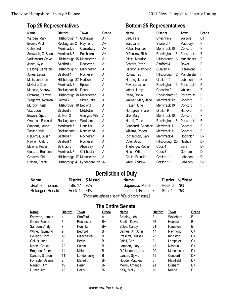### **Top 25 Representatives**

| <u>Name</u>         | <b>District</b>            | Town          | <b>Grade</b> |
|---------------------|----------------------------|---------------|--------------|
| Warden, Mark        | Hillsborough 7             | Goffstown     | A+           |
| Brown, Paul         | Rockingham 2               | Raymond       | A+           |
| Cohn, Seth          | Merrimack 6                | Canterbury    | A+           |
| Seaworth, G. Brian  | Merrimack 7                | Pembroke      | A+           |
| Vaillancourt, Steve | Hillsborough 15 Manchester |               | A+           |
| Jones, Kyle         | Strafford 1                | Rochester     | A+           |
| DeJong, Cameron     | Hillsborough 9             | Manchester    | A            |
| Jones, Laura        | Strafford 1                | Rochester     | A            |
| Maltz, Jonathan     | Hillsborough 27 Hudson     |               | A            |
| McGuire, Dan        | Merrimack 8                | Epsom         | A            |
| Manuse, Andrew      | Rockingham 5               | Derry         | A            |
| Simmons, Tammy      | Hillsborough 18 Manchester |               | A            |
| Tregenza, Norman    | Carroll 2                  | Silver Lake   | A            |
| Murphy, Keith       | Hillsborough 18 Bedford    |               | A            |
| Vita, Lucien        | Strafford 3                | Middleton     | A            |
| Bowers, Spec        | Sullivan 3                 | Georges Mills | A            |
| Okerman, Richard    | Rockingham 4               | Windham       | A            |
| Sanborn, Laurie     | Merrimack 5                | Henniker      | A            |
| Tasker, Kyle        | Rockingham 1               | Northwood     | A            |
| DeLemus, Susan      | Strafford 1                | Rochester     | A            |
| Newton, Clifford    | Strafford 1                | Rochester     | A            |
| Malone, Robert      | Belknap 5                  | Alton Bay     | A            |
| Giuda, J. Brandon   | Merrimack 7                | Chichester    | A            |
| Greazzo, Phil       | Hillsborough 17            | Manchester    | A            |
| Holden, Frank       | Hillsborough 4             | Lyndeborough  | А-           |

### **Bottom 25 Representatives**

| Name               | <b>District</b> | Town          | Grade     |
|--------------------|-----------------|---------------|-----------|
| Sad, Tara          | Cheshire 2      | Walpole       | <b>CT</b> |
| Wall, Janet        | Strafford 7     | Madbury       | F         |
| Potter, Frances    | Merrimack 10    | Concord       | F         |
| DiPentima, Rich    | Rockingham 16   | Portsmouth    | F         |
| Pilotte, Maurice   | Hillsborough 16 | Manchester    | F         |
| Schmidt, Peter     | Strafford 4     | Dover         | F         |
| Gagnon, Raymond    | Sullivan 4      | Claremont     | F         |
| Rokas, Ted         | Hillsborough 12 | Manchester    | F         |
| Harding, Laurie    | Grafton 11      | Lebanon       | F         |
| Powers, James      | Rockingham 16   | Portsmouth    | F         |
| Weber, Lucy        | Cheshire 2      | Walpole       | F         |
| Read, Robin        | Rockingham 16   | Portsmouth    | F         |
| Wallner, Mary Jane | Merrimack 12    | Concord       | F         |
| Frazer, June       | Merrimack 10    | Concord       | F         |
| Nordgren, Sharon   | Grafton 9       | Hanover       | F         |
| Gile, Mary         | Merrimack 10    | Concord       | F         |
| Norelli, Terie     | Rockingham 16   | Portsmouth    | F         |
| Bouchard, Candace  | Merrimack 11    | Concord       | F         |
| Williams, Robert   | Merrimack 11    | Concord       | F         |
| Richardson, Gary   | Merrimack 4     | Hopkinton     | D-        |
| Cote, David        | Hillsborough 23 | Nashua        | D-        |
| Theberge, Robert   | Coos 4          | <b>Berlin</b> | D-        |
| Hatch, William     | Coos 3          | Gorham        | D-        |
| Gould, Franklin    | Grafton 11      | Lebanon       | D-        |
| White, Andrew      | Grafton 11      | Lebanon       | D-        |
|                    |                 |               |           |

### **Dereliction of Duty**

| Name             |              | District % Missed           | <b>Name</b>        |             | District % Missed |
|------------------|--------------|-----------------------------|--------------------|-------------|-------------------|
| Beattie, Thomas  | Hills 17 96% |                             | Sapienza, Marie    | Rock 8 79%  |                   |
| Belanger, Ronald | Rock 4 84%   |                             | Leonard, Frederick | Straf 1 75% |                   |
|                  |              | / TI I I III I TAA I II I I |                    |             |                   |

*(Those who missed at least 70% of scored votes.)*

### **The Entire Senate**

| Name              | <b>District</b> | Town          | Grade | <b>Name</b>       | <b>District</b> | Town       | Grade |
|-------------------|-----------------|---------------|-------|-------------------|-----------------|------------|-------|
| Forsythe, James   | 4               | Strafford     | А-    | Bradley, Jeb      | 3               | Wolfeboro  | В-    |
| Groen, Fenton     | 6               | Rochester     | B+    | Boutin, David     | 16              | Hooksett   | В-    |
| Sanborn, Andy     |                 | Henniker      | B+    | Stiles, Nancy     | 24              | Hampton    | В-    |
| White, Raymond    | 9               | Bedford       | B+    | Barnes, Jr., John | 17              | Raymond    | C+    |
| De Blois, Tom     | 18              | Manchester    | B     | Prescott. Russell | 23              | Kingston   | C+    |
| Gallus, John      |                 | <b>Berlin</b> | В-    | Odell, Bob        | 8               | Lempster   | C+    |
| Morse, Chuck      | 22              | Salem         | В-    | Lambert, Gary     | 13              | Nashua     | C+    |
| Bragdon, Peter    | 11              | Milford       | В-    | D'Allesandro, Lou | 20              | Manchester | D+    |
| Carson, Sharon    | 14              | Londonderry   | В-    | Larsen, Sylvia    | 15              | Concord    | D+    |
| Forrester, Jeanie | 2               | Meredith      | B-    | Houde, Matthew    | 5               | Plainfield | D+    |
| Rausch, Jim       | 19              | Derry         | В-    | Merrill, Amanda   | 21              | Durham     | D+    |
| Luther, Jim       | 12              | Hollis        | В-    | Kelly, Molly      | 10              | Keene      | D     |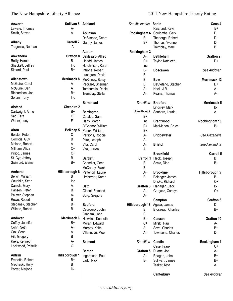| Acworth<br>Laware, Thomas | Sullivan 5         | Ashland            | See Alexandria Berlin | Reichard, Kevin                    | Coos 4<br>B+      |
|---------------------------|--------------------|--------------------|-----------------------|------------------------------------|-------------------|
| Smith, Steven             | А-<br>А-           | <b>Atkinson</b>    | Rockingham 6          |                                    | D                 |
|                           |                    |                    |                       | Coulombe, Gary                     |                   |
| Albany                    | <b>Carroll 2</b>   | DeSimone, Debra    | B<br>B+               | Theberge, Robert<br>Thomas, Yvonne | D-<br>D-          |
| Tregenza, Norman          | Α                  | Garrity, James     |                       |                                    | B                 |
|                           |                    | Auburn             |                       | Tremblay, Marc                     |                   |
| Alexandria                | Grafton 8          |                    | Rockingham 3          |                                    | <b>Grafton 2</b>  |
| Reilly, Harold            | B-                 | Baldasaro, Alfred  | А-                    | <b>Bethlehem</b>                   |                   |
|                           |                    | Headd, James       | B+                    | Taylor, Kathleen                   | D+                |
| Shackett, Jeffrey         | <b>Inc</b><br>$B+$ | Hutchinson, Karen  | Inc                   |                                    |                   |
| Simard, Paul              |                    | Introne, Robert    | B-                    | <b>Boscawen</b>                    | See Andover       |
|                           |                    | Lundgren, David    | <b>B-</b>             |                                    |                   |
| Allenstown                | Merrimack 8        | McKinney, Betsy    | $\sf B$               | <b>Bow</b>                         | Merrimack 13      |
| McGuire, Carol            | А-                 | Packard, Sherman   | B                     | DeStefano, Stephen                 | D+                |
| McGuire, Dan              | Α                  | Tamburello, Daniel | A-                    | Hoell, J.R.                        | А-                |
| Richardson, Jon           | $B+$               | Tremblay, Stella   | A-                    | Keane, Thomas                      | А-                |
| Soltani, Tony             | Inc                |                    |                       |                                    |                   |
|                           |                    | <b>Barnstead</b>   | See Alton             | <b>Bradford</b>                    | Merrimack 5       |
| Alstead                   | <b>Cheshire 2</b>  |                    |                       | Lindsley, Mark                     | <b>B-</b>         |
| Cartwright, Anne          | $B+$               | <b>Barrington</b>  | <b>Strafford 3</b>    | Sanborn, Laurie                    | Α                 |
| Sad, Tara                 | <b>CT</b>          | Cataldo, Sam       | $B+$                  |                                    |                   |
| Weber, Lucy               | F                  | Harty, Martin      | Inc                   | <b>Brentwood</b>                   | Rockinghom 10     |
|                           |                    | O'Connor, William  | $B+$                  | MacMahon, Bruce                    | <b>B-</b>         |
| Alton                     | Belknap 5          | Panek, William     | $B+$                  |                                    |                   |
| Bolster, Peter            | С                  | Parsons, Robbie    | A-                    | <b>Bridgewater</b>                 | See Alexandria    |
| Comtois, Guy              | B                  | Pitre, Joseph      | A-                    |                                    |                   |
| Malone, Robert            | Α                  | Vita, Carol        | $A-$                  | <b>Bristol</b>                     | See Alexandria    |
| Millham, Alida            | $C+$               | Vita, Lucien       | A                     |                                    |                   |
| Pilliod, James            | $C+$               |                    |                       | <b>Brookfield</b>                  | Carroll 5         |
| St. Cyr, Jeffrey          | B-                 | <b>Bartlett</b>    | Carroll 1             | Fleck, Joseph                      | B                 |
| Swinford, Elaine          | B+                 | Chandler, Gene     | Β                     | Scala, Dino                        | <b>B-</b>         |
|                           |                    | McCarthy, Frank    | В                     |                                    |                   |
| <b>Amherst</b>            | Hillsborough 6     | Pettengill, Laurie | $A-$                  | <b>Brookline</b>                   | Hillsborough 5    |
| Belvin, William           | B                  |                    | B                     |                                    | B-                |
| Coughlin, Sean            | <b>Inc</b>         | Umberger, Karen    |                       | Belanger, James<br>Drisko, Richard | $C+$              |
| Daniels, Gary             | А-                 |                    |                       |                                    |                   |
| Hansen, Peter             | B+                 | <b>Bath</b>        | Grafton 3             | Flanagan, Jack                     | <b>B-</b><br>$C+$ |
| Palmer, Stephen           | А-                 | Gionet, Edmond     | A-                    | Gargasz, Carolyn                   |                   |
|                           |                    | Sorg, Gregory      | А-                    |                                    |                   |
| Rowe, Robert              | B<br>B+            |                    |                       | Campton                            | Grafton 6         |
| Stepanek, Stephen         |                    | <b>Bedford</b>     | Hillsborough 18       | Aguiar, James                      | D                 |
| Willette, Robert          | В                  | Cebrowski, John    | B                     | Brosseau, Charles                  | $B+$              |
|                           |                    | Graham, John       | Β                     |                                    |                   |
| Andover                   | Merrimack 6        | Hawkins, Kenneth   | B-                    | Canaan                             | Grafton 10        |
| Coffey, Jennifer          | B+                 | Moran, Edward      | $C+$                  | Mirski, Paul                       | А-                |
| Cohn, Seth                | A+                 | Murphy, Keith      | A                     | Sova, Charles                      | B+                |
| Cox, Sean                 | А-                 | Villeneuve, Moe    | A-                    | Townsend, Charles                  | D-                |
| Hill, Gregory             | B                  |                    |                       |                                    |                   |
| Kreis, Kenneth            | А-                 | <b>Belmont</b>     | See Alton             | Candia                             | Rockingham 1      |
| Lockwood, Priscilla       | C                  |                    |                       | Case, Frank                        | C+                |
|                           |                    | <b>Benton</b>      | Grafton 5             | Duarte, Joe                        | А-                |
| Antrim                    | Hillsborough 1     | Ingbretson, Paul   | А-                    | Reagan, John                       | $B+$              |
| Fredette, Robert          | B+                 | Ladd, Rick         | <b>B-</b>             | Sullivan, James                    | $B+$              |
| Mecheski, Holly           | Β                  |                    |                       | Tasker, Kyle                       | Α                 |
| Porter, Marjorie          | D-                 |                    |                       |                                    |                   |
|                           |                    |                    |                       | Canterbury                         | See Andover       |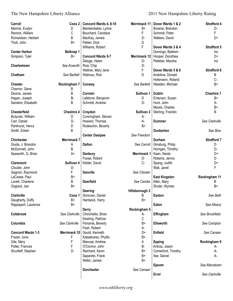### The New Hampshire Liberty Alliance 2011 New Hampshire Liberty Rating

| Carroll                  | Coos 2            | Concord Wards 4, 8-10    | <b>Merrimack 11</b>   | Dover Wards 1 & 2    | <b>Strafford 4</b> |
|--------------------------|-------------------|--------------------------|-----------------------|----------------------|--------------------|
| Merrick, Evalyn          | D                 | Blankenbeker, Lynne      | $B+$                  | Browne, Brendon      | D-                 |
| Remick, William          | C                 | Bouchard, Candace        | F                     | Schmidt, Peter       | F                  |
| Richardson, Herbert      | B                 | MacKay, James            | D-                    | Watters, David       | D+                 |
| Tholl, John              | B+                | Patten, Dick             | D                     |                      |                    |
|                          |                   | Williams, Robert         | F                     | Dover Wards 3 & 4    | Strafford 5        |
| <b>Center Harbor</b>     | Belknap 1         |                          |                       | Domingo, Baldwin     | Inc                |
| Simpson, Tyler           | $B+$              | <b>Concord Wards 5-7</b> | Merrimack 12          | Hooper, Dorothea     | D+                 |
|                          |                   | Deloge, Helen            | D-                    | Pelletier, Marsha    | Inc                |
| Charlestown              | See Acworth       | Rice, Chip               | D-                    |                      |                    |
|                          |                   | Wallner, Mary Jane       | $\mathsf F$           | Dover Wards 5 & 6    | Strafford 6        |
| Chatham                  | See Bartlett      | Watrous, Rick            | D                     | Andolina, Donald     | Β                  |
|                          |                   |                          |                       | Hofemann, Roland     | C-                 |
| <b>Chester</b>           | Rockingham 7      | Conway                   | See Bartlett          | Weeden, Michael      | B+                 |
| Charron, Gene            | B                 |                          |                       |                      |                    |
| Devine, James            | B                 | Cornish                  | Sullivan 1            | <b>Dublin</b>        | <b>Cheshire 7</b>  |
| Hagan, Joseph            | <b>B-</b>         | Lefebvre, Benjamin       | D                     | Emerson, Susan       | $B+$               |
| Sanders, Elisabeth       | B                 | Schmidt, Andrew          | D-                    | Hunt, John           | А-                 |
|                          |                   |                          |                       | Moore, Charles       | $B+$               |
| <b>Chesterfield</b>      | <b>Cheshire 4</b> | Croydon                  | Sullivan <sub>2</sub> | Sterling, Franklin   | B                  |
| Butynski, William        | D                 | Cunningham, Steven       | A-                    |                      |                    |
| Carr, Daniel             | D-                | Howard, Thomas           | A-                    | <b>Dummer</b>        | See Clarkville     |
| Parkhurst, Henry         | D                 | Rodeschin, Beverly       | $B+$                  |                      |                    |
| Smith, Edwin             | B                 |                          |                       | <b>Dunbarton</b>     | See Bow            |
|                          |                   | <b>Center Ossipee</b>    | See Freedom           |                      |                    |
| <b>Chichester</b>        | Merrimack 7       |                          |                       | <b>Durham</b>        | <b>Strafford 7</b> |
|                          |                   |                          |                       |                      |                    |
| Giuda, J. Brandon        | A                 | <b>Dalton</b>            | See Carroll           | Ginsburg, Philip     | D                  |
| McDonnell, John          | B                 |                          |                       | Horrigan, Timothy    | D-                 |
| Seaworth, G. Brian       | $A+$              | <b>Danbury</b>           | <b>Merrimack 1</b>    | Kaen, Naida          | D+                 |
|                          |                   | Foose, Robert            | D-                    | Roberts, Jenna       | D                  |
| <b>Claremont</b>         | Sullivan 4        | Kidder, David            | C-                    | Spang, Judith        | D+                 |
| Cloutier, John           | D-                |                          |                       | Wall, Janet          | F                  |
| Gagnon, Raymond          | F                 | <b>Danville</b>          | See Chester           |                      |                    |
| LaCasse, Paul            | B+                |                          |                       | <b>East Kingston</b> | Rockingham 11      |
| Lovett, Charlene         | B                 | <b>Deerfield</b>         | See Candia            | Allen, Mary          | B                  |
| Osgood, Joe              | B+                |                          |                       | Shuler, Wyman        | B+                 |
|                          |                   | <b>Deering</b>           | Hillsborough 2        |                      |                    |
| Clarkville               | Coos 1            | Donovan, Daniel          | B                     | Easton               | See Bath           |
| Daugherty, Duffy         | B+                | Hardwick, Harry          | $B+$                  |                      |                    |
| Rappaport, Laurence      | $B+$              |                          |                       | Eaton                | See Albany         |
|                          |                   | <b>Derry</b>             | Rockingham 5          |                      |                    |
| Colebrook                | See Clarkville    | Chirichiello, Brian      | А-                    | Effingham            | See Brookfield     |
|                          |                   | Dowling, Patricia        | C                     |                      |                    |
| Columbia                 | See Clarkville    | Ferrante, Beverly        | B+                    | <b>Ellsworth</b>     | See Campton        |
|                          |                   | Fesh, Robert             | A-                    |                      |                    |
| <b>Concord Wards 1-3</b> | Merrimack 10      | Gould, Kenneth           | D+                    | Enfield              | See Canaan         |
| Frazer, June             | F                 | Katsakiores, Phyllis     | B+                    |                      |                    |
| Gile, Mary               | $\mathsf F$       | Manuse, Andrew           | A                     | <b>Epping</b>        | Rockingham 9       |
| Potter, Frances          | F                 | O'Connor, John           | <b>B-</b>             | Antosz, Jason        | A-                 |
| Shurtleff, Stephen       | D-                | Reichard, Kevin          | B+                    | Comerford, Timothy   | А-                 |
|                          |                   | Sapareto, Frank          | B+                    | Itse, Daniel         | A-                 |
|                          |                   | Webb, James              | B+                    |                      |                    |
|                          |                   |                          |                       | <b>Epsom</b>         | See Allenstown     |
|                          |                   | <b>Dorchester</b>        | See Canaan            |                      |                    |
|                          |                   |                          |                       | Errol                | See Clarkville     |
|                          |                   |                          |                       |                      |                    |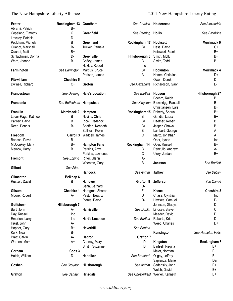| <b>Exeter</b>        | Rockingham 13      | Grantham               | See Cornish      | <b>Holderness</b>  | See Alexandria     |
|----------------------|--------------------|------------------------|------------------|--------------------|--------------------|
| Abrami, Patrick      | B+                 |                        |                  |                    |                    |
| Copeland, Timothy    | $C+$               | Greenfield             | See Deering      | <b>Hollis</b>      | See Brookline      |
| Lovejoy, Patricia    | D                  |                        |                  |                    |                    |
| Peckham, Michele     | B                  | Greenland              | Rockingham 17    | Hooksett           | <b>Merrimack 9</b> |
| Quandt, Marshall     | <b>B-</b>          | Tucker, Pamela         | B+               | Hess, David        | $C+$               |
| Quandt, Matt         | $B+$               |                        |                  | Kotowski, Frank    | B+                 |
| Schlachman, Donna    | D-                 | Greenville             | Hillsborough 3   | Smith, Molly       | B+                 |
| Ward, Joanne         | <b>B-</b>          | Coffey, James          | B                | Smith, Todd        | B+                 |
|                      |                    | Huxley, Robert         | Inc              |                    |                    |
| Farmington           | See Barrington     | Marcus, Bruce          | $B+$             | Hopkinton          | Merrimack 4        |
|                      |                    | Parison, James         | A-               | Hamm, Christine    | D+                 |
| <b>Fitzwilliam</b>   |                    |                        |                  |                    | D-                 |
|                      | <b>Cheshire 5</b>  |                        |                  | Owen, Derek        |                    |
| Dwinell, Richard     | $C+$               | Groton                 | See Alexandria   | Richardson, Gary   | D-                 |
| Francestown          | See Deering        | <b>Hale's Location</b> | See Bartlett     | Hudson             | Hillsborough 27    |
|                      |                    |                        |                  | Boehm, Ralph       | B+                 |
| Franconia            | See Bethlehem      | Hampstead              | See Kingston     | Brownrigg, Randall | В-                 |
|                      |                    |                        |                  | Christiansen, Lars | B+                 |
| Franklin             | <b>Merrimack 2</b> | Hampton                | Rockingham 15    | Doherty, Shaun     | B+                 |
| Lauer-Rago, Kathleen | В                  | Nevins, Chris          | B                | Gandia, Laura      | B+                 |
|                      |                    |                        |                  |                    |                    |
| Palfrey, David       | В                  | Rice, Frederick        | B+               | Haefner, Robert    | B+                 |
| Reed, Dennis         | <b>B-</b>          | Sheffert, Kenneth      | B+               | Jasper, Shawn      | B                  |
|                      |                    | Sullivan, Kevin        | В                | Lambert, George    | А-                 |
| Freedom              | Carroll 3          | Waddell, James         | С                | Maltz, Jonathan    | A                  |
| Babson, David        | <b>B-</b>          |                        |                  | Ober, Lynne        | Inc                |
| McConkey, Mark       | $B+$               | <b>Hampton Falls</b>   | Rockingham 14    | Ober, Russell      | B+                 |
| Merrow, Harry        | В                  | Perkins, Amy           | C+               | Renzullo, Andrew   | А-                 |
|                      |                    | Perkins, Lawrence      | C                | Ulery, Jordan      | $B+$               |
| <b>Fremont</b>       | See Epping         | Ritter, Glenn          | А-               |                    |                    |
|                      |                    | Wheaton, Gary          | <b>B-</b>        | Jackson            | See Bartlett       |
| Gilford              | See Alton          |                        |                  |                    |                    |
|                      |                    | Hancock                | See Antrim       | Jaffrey            | See Dublin         |
| Gilmanton            | Belknap 6          |                        |                  |                    |                    |
| Russell, David       | B                  | Hanover                | Grafton 9        | Jefferson          | See Carroll        |
|                      |                    |                        |                  |                    |                    |
|                      |                    | Benn, Bernard          | D-               |                    |                    |
| Gilsum               | Cheshire 1         | Nordgren, Sharon       | F                | Keene              | <b>Cheshire 3</b>  |
| Moore, Robert        | А-                 | Pastor, Beatriz        | D                | Chase, Cynthia     | Inc                |
|                      |                    | Pierce, David          | D-               | Hawkes, Samuel     | D-                 |
| Goffstown            | Hillsborough 7     |                        |                  | Johnsen, Gladys    | D                  |
| Burt, John           | А-                 | Harrisville            | See Dublin       | Lindsey, Steven    | С                  |
| Day, Russell         | Inc                |                        |                  | Meader, David      | D                  |
| Emerton, Larry       | Inc                | <b>Hart's Location</b> | See Bartlett     | Roberts, Kris      | D                  |
| Hikel, John          | А-                 |                        |                  | Weed, Charles      | D+                 |
| Hopper, Gary         | B+                 | Haverhill              | See Benton       |                    |                    |
| Kurk, Neal           | B-                 |                        |                  | Kensington         | See Hampton Falls  |
| Pratt, Calvin        | А-                 | Hebron                 | <b>Grafton 7</b> |                    |                    |
| Warden, Mark         | A+                 | Cooney, Mary           | D-               |                    | Rockingham 8       |
|                      |                    |                        |                  | Kingston           |                    |
|                      |                    | Smith, Suzanne         | D                | Birdsell, Regina   | B+                 |
| Gorham               | Coos 3             |                        |                  | Major, Norman      | B                  |
| Hatch, William       | D-                 | Henniker               | See Bradford     | Oligny, Jeffrey    | B                  |
|                      |                    |                        |                  | Sapienza, Marie    | Der                |
| Goshen               | See Croydon        | Hillsborough           | See Antrim       | Sedensky, John     | B+                 |
|                      |                    |                        |                  | Welch, David       | B+                 |
| Grafton              | See Canaan         | Hinsdale               | See Chesterfield | Weyler, Kenneth    | B+                 |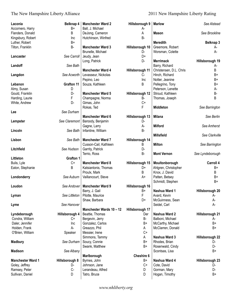| Laconia<br>Accornero, Harry | Belknap 4<br>B+   | <b>Manchester Ward 2</b><br>Ball, J. Michael  | Hillsborough 9<br>A-  | <b>Marlow</b>                        | See Alstead      |
|-----------------------------|-------------------|-----------------------------------------------|-----------------------|--------------------------------------|------------------|
| Flanders, Donald            | В                 | DeJong, Cameron                               | A                     | <b>Mason</b>                         | See Brookline    |
| Kingsbury, Robert           | Inc               | Hutchinson, Winfred                           | <b>B-</b>             |                                      |                  |
| Luther, Robert              | B+                |                                               |                       | <b>Meredith</b>                      | <b>Belknap 3</b> |
| Tilton, Franklin            | <b>B-</b>         | <b>Manchester Ward 3</b><br>Brunelle, Michael | Hillsborough 10<br>D- | Greemore, Robert<br>Worsman, Colette | А-<br>A-         |
| Lancaster                   | See Carroll       | Jeudy, Jean                                   | D+                    |                                      |                  |
|                             |                   | Long, Patrick                                 | D-                    | <b>Merrimack</b>                     | Hillsborough 19  |
| Landoff                     | See Bath          |                                               |                       | Barry, Richard                       | А-               |
|                             |                   | <b>Manchester Ward 4</b>                      | Hillsborough 11       | Christensen, D.L. Chris              | B                |
| Langdon                     | See Acworth       | Levasseur, Nickolas                           | $C-$                  | Hinch, Richard                       | B+               |
|                             |                   | Pepino, Leo                                   | Inc                   | Notter, Jeanine                      | B+               |
| Lebanon                     | <b>Grafton 11</b> | Souza, Kathleen                               | B                     | Pellegrino, Tony                     | B+               |
| Almy, Susan                 | D                 |                                               |                       | Peterson, Lenette                    | А-               |
| Gould, Franklin             | D-                | <b>Manchester Ward 5</b>                      | Hillsborough 12       | Stroud, Kathleen                     | В-               |
| Harding, Laurie             | F                 | Champagne, Norma                              | B-                    | Thomas, Joseph                       | B                |
| White, Andrew               | D-                | Gimas, John                                   | $C+$                  |                                      |                  |
|                             |                   | Rokas, Ted                                    | F                     | <b>Middleton</b>                     | See Barrington   |
| Lee                         | See Durham        |                                               |                       |                                      |                  |
| Lempster                    | See Claremont     | <b>Manchester Ward 6</b><br>Baroody, Benjamin | Hillsborough 13<br>D- | <b>Milana</b>                        | See Berlin       |
|                             |                   | Gagne, Larry                                  | A-                    | <b>Milford</b>                       | See Amherst      |
| Lincoln                     | See Bath          | Infantine, William                            | B-                    |                                      |                  |
|                             |                   |                                               |                       | <b>Millsfield</b>                    | See Clarkville   |
| Lisbon                      | See Bath          | <b>Manchester Ward 7</b>                      | Hillsborough 14       |                                      |                  |
|                             |                   | Cusson-Cail, Kathleen                         | B                     | <b>Milton</b>                        | See Barrington   |
| Litchfield                  | See Hudson        | Garrity, Patrick                              | D-                    |                                      |                  |
|                             |                   | Terrio, Ross                                  | <b>B-</b>             | <b>Mont Vernon</b>                   | See Lyndeborough |
| Littleton                   | <b>Grafton 1</b>  |                                               |                       |                                      |                  |
| Bulis, Lyle                 | C+                | <b>Manchester Ward 8</b>                      | Hillsborough 15       | Moultonborough                       | Carroll 4        |
| Eaton, Stephanie            | В                 | Katsiantonis, Thomas                          | D+                    | Ahlgren, Christopher                 | B+               |
|                             |                   | Proulx, Mark                                  | B                     | Knox, J. David                       | B                |
| Londonderry                 | See Auburn        | Vaillancourt, Steve                           | $A+$                  | Patten, Betsey                       | B+               |
|                             |                   |                                               |                       | Schmidt, Stephen                     | B+               |
| Loudon                      | See Andover       | <b>Manchester Ward 9</b>                      | Hillsborough 16       |                                      |                  |
|                             |                   | Barry, J. Gail                                | B+                    | Nashua Ward 1                        | Hillsborough 20  |
| Lyman                       | See Littleton     | Pilotte, Maurice                              | F                     | Avard, Kevin                         | А-               |
|                             |                   | Shaw, Barbara                                 | D+                    | McGuinness, Sean                     | A-               |
| Lyme                        | See Hanover       |                                               |                       | Seidel, Carl                         | A-               |
|                             |                   | Manchester Wards 10 - 12                      | Hillsborough 17       |                                      |                  |
| Lyndeborough                | Hillsborough 4    | Beattie, Thomas                               | Der                   | Nashua Ward 2                        | Hillsborough 21  |
| Condra, William             | C+                | Bergevin, Jerry                               | B-                    | Balboni, Michael                     | А-               |
| Daler, Jennifer             | Inc               | Gonzalez, Carlos                              | $B+$                  | McCarthy, Michael                    | $B+$             |
| Holden, Frank               | А-                | Greazzo, Phil                                 | A                     | McClarren, Donald                    | B+               |
| O'Brien, William            | Speaker           | Messier, Irene                                | $C+$                  |                                      |                  |
|                             |                   | Simmons, Tammy                                | A                     | Nashua Ward 3                        | Hillsborough 22  |
| <b>Madbury</b>              | See Durham        | Soucy, Connie                                 | B+                    | Rhodes, Brian                        | D-               |
|                             |                   | Swank, Matthew                                | $B+$                  | Rosenwald, Cindy                     | D-               |
| <b>Madison</b>              | See Albany        |                                               |                       | Scontsas, Lisa                       | B+               |
|                             |                   | Marlborough                                   | Cheshire 6            |                                      |                  |
| <b>Manchester Ward 1</b>    | Hillsborough 8    | Byrnes, John                                  | B+                    | Nashua Ward 4                        | Hillsborough 23  |
| Goley, Jeffrey              | D-                | Johnson, Jane                                 | $C+$                  | Cote, David                          | D-               |
| Ramsey, Peter               | $C -$             | Lerandeau, Alfred                             | D                     | Gorman, Mary                         | D-               |
| Sullivan, Daniel            | D                 | Tatro, Bruce                                  | D                     | Hogan, Timothy                       | B+               |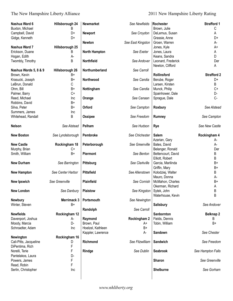### The New Hampshire Liberty Alliance 2011 New Hampshire Liberty Rating

| Nashua Ward 6<br>Buxton, Michael | Hillsborough 24<br>B | <b>Newmarket</b>     | See Newfields     | Rochester<br>Brown, Julie | <b>Strafford 1</b><br>C |
|----------------------------------|----------------------|----------------------|-------------------|---------------------------|-------------------------|
|                                  | D+                   | <b>Newport</b>       |                   | DeLemus, Susan            |                         |
| Campbell, David                  |                      |                      | See Croydon       |                           | A                       |
| Gidge, Kenneth                   | D+                   |                      |                   | Grassie, Anne             | D+                      |
|                                  |                      | Newton               | See East Kingston | Groen, Warren             | А-                      |
| Nashua Ward 7                    | Hillsborough 25      |                      |                   | Jones, Kyle               | A+                      |
| Erickson, Duane                  | B                    | <b>North Hampton</b> | See Exeter        | Jones, Laura              | Α                       |
| Hogan, Edith                     | А-                   |                      |                   | Keans, Sandra             | D                       |
| Twombly, Timothy                 | B                    | Northfield           | See Andover       | Leonard, Frederick        | Der                     |
|                                  |                      |                      |                   | Newton, Clifford          | A                       |
| Nashua Wards 5, 8 & 9            | Hillsborough 26      | Northumberland       | See Carroll       |                           |                         |
| Brown, Kevin                     | B+                   |                      |                   | Rollinsford               | <b>Strafford 2</b>      |
| Krasucki, Joseph                 | $B+$                 | Northwood            | See Candia        | Berube, Roger             | D+                      |
| LeBrun, Donald                   | С                    |                      |                   | Larsen, Kirsten           | B                       |
| Ohm, Bill                        | $B+$                 | Nottingham           | See Candia        | Munck, Philip             | C+                      |
| Palmer, Barry                    | $C+$                 |                      |                   | Spainhower, Dale          | D-                      |
| Reed, Michael                    | <b>Inc</b>           | Orange               | See Canaan        | Sprague, Dale             | C-                      |
| Robbins, David                   | B+                   |                      |                   |                           |                         |
| Silva, Peter                     | B+                   | Orford               | See Campton       | <b>Roxbury</b>            | See Alstead             |
| Summers, James                   | Inc                  |                      |                   |                           |                         |
| Whitehead, Randall               | B                    | Ossipee              | See Freedom       | Rumney                    | See Campton             |
|                                  |                      |                      |                   |                           |                         |
| <b>Nelson</b>                    | See Alstead          | Pelham               | See Hudson        | <b>Rye</b>                | See New Castle          |
| <b>New Boston</b>                | See Lyndeborough     | Pembroke             | See Chichester    | <b>Salem</b>              | Rockingham 4            |
|                                  |                      |                      |                   | Azarian, Gary             | А-                      |
| <b>New Castle</b>                | Rockingham 18        | Peterborough         | See Greenville    | Bates, David              | А-                      |
| Murphy, Brian                    | C+                   |                      |                   | Belanger, Ronald          | Der                     |
| Smith, William                   | $B+$                 | Piermont             | See Benton        | Bettencourt, David        | В                       |
|                                  |                      |                      |                   | Elliott, Robert           | В                       |
| <b>New Durham</b>                | See Barrington       | Pittsburg            | See Clarkville    | Garcia, Marilinda         | B+                      |
|                                  |                      |                      |                   | Griffin, Mary             | B+                      |
| <b>New Hampton</b>               | See Center Harbor    | Pittsfield           | See Allenstown    | Kolodziej, Walter         | B                       |
|                                  |                      |                      |                   |                           |                         |
|                                  |                      |                      | See Cornish       | Mauro, Donna              | A-                      |
| <b>New Ipswich</b>               | See Greenville       | Plainfield           |                   | McMahon, Charles          | B+                      |
|                                  |                      |                      |                   | Okerman, Richard          | Α                       |
| <b>New London</b>                | See Danbury          | <b>Plaistow</b>      | See Kingston      | Sytek, John               | B                       |
|                                  |                      |                      |                   | Waterhouse, Kevin         | Β                       |
| <b>Newbury</b>                   | Merrimack 3          | Portsmouth           | See Newington     |                           |                         |
| Winter, Steven                   | $B+$                 |                      |                   | Salisbury                 | See Andover             |
|                                  |                      | Randolph             | See Carroll       |                           |                         |
| <b>Newfields</b>                 | Rockingham 12        |                      |                   | Sanbornton                | <b>Belknap 2</b>        |
| Davenport, Joshua                | А-                   | Raymond              | Rockingham 2      | Fields, Dennis            | B                       |
| Moody, Marcia                    | D-                   | Brown, Paul          | A+                | Tobin, William            | $B+$                    |
| Schroadter, Adam                 | Inc                  | Hoelzel, Kathleen    | $B+$              |                           |                         |
|                                  |                      | Kappler, Lawrence    | А-                | Sandown                   | See Chester             |
| Newington                        | Rockingham 16        |                      |                   |                           |                         |
| Cali-Pitts, Jacqueline           | D                    | Richmond             | See Fitzwilliam   | Sandwich                  | See Freedom             |
| DiPentima, Rich                  | F                    |                      |                   |                           |                         |
| Norelli, Terie                   | F                    | Rindge               | See Dublin        | <b>Seabrook</b>           | See Hampton Falls       |
| Pantelakos, Laura                | D-                   |                      |                   |                           |                         |
| Powers, James                    | F                    |                      |                   | <b>Sharon</b>             | See Greenville          |
| Read, Robin                      | F                    |                      |                   |                           |                         |
| Serlin, Christopher              | <b>Inc</b>           |                      |                   | <b>Shelburne</b>          | See Gorham              |
|                                  |                      |                      |                   |                           |                         |
|                                  |                      |                      |                   |                           |                         |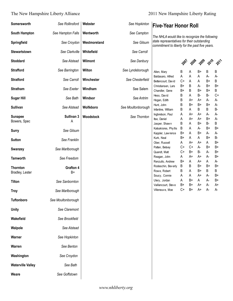#### The New Hampshire Liberty Alliance 2011 New Hampshire Liberty Rating

| Somersworth                        | See Rollinsford          | Webster      | See Hopkinton      |
|------------------------------------|--------------------------|--------------|--------------------|
| <b>South Hampton</b>               | See Hampton Falls        | Wentworth    | See Campton        |
| Springfield                        | See Croydon              | Westmoreland | See Gilsum         |
| <b>Stewartstown</b>                | See Clarkville           | Whitefield   | See Carroll        |
| <b>Stoddard</b>                    | See Alstead              | Wilmont      | See Danbury        |
| <b>Strafford</b>                   | See Barrington           | Wilton       | See Lyndeborough   |
| <b>Stratford</b>                   | See Carroll              | Winchester   | See Chesterfield   |
| <b>Stratham</b>                    | See Exeter               | Windham      | See Salem          |
| <b>Sugar Hill</b>                  | See Bath                 | Windsor      | See Antrim         |
| <b>Sullivan</b>                    | See Alstead              | Wolfeboro    | See Moultonborough |
| <b>Sunapee</b><br>Bowers, Spec     | Sullivan 3<br>A          | Woodstock    | See Thornton       |
| <b>Surry</b>                       | See Gilsum               |              |                    |
| <b>Sutton</b>                      | See Franklin             |              |                    |
| Swanzey                            | See Marlborough          |              |                    |
| <b>Tamworth</b>                    | See Freedom              |              |                    |
| <b>Thornton</b><br>Bradley, Lester | <b>Grafton 4</b><br>$B+$ |              |                    |
| <b>Tilton</b>                      | See Sanbornton           |              |                    |
| <b>Troy</b>                        | See Marlborough          |              |                    |
| <b>Tuftonboro</b>                  | See Moultonborough       |              |                    |
| <b>Unity</b>                       | See Claremont            |              |                    |
| Wakefield                          | See Brookfield           |              |                    |
| Walpole                            | See Alstead              |              |                    |
| Warner                             | See Hopkinton            |              |                    |
| Warren                             | See Benton               |              |                    |
| Washington                         | See Croydon              |              |                    |
| <b>Waterville Valley</b>           | See Bath                 |              |                    |
| Weare                              | See Goffstown            |              |                    |

#### **See Hopkinton Five-Year Honor Roll**

*The NHLA would like to recognize the following state representatives for their outstanding commitment to liberty for the past five years.*

| Whitefield | See Carroll |
|------------|-------------|
|            |             |

| Wilton     | See Lyndeborough   |
|------------|--------------------|
| Winchester | See Chesterfield   |
| Windham    | See Salem          |
| Windsor    | See Antrim         |
| Wolfeboro  | See Moultonborough |
|            |                    |

| Wolfeboro |                                                         |  |
|-----------|---------------------------------------------------------|--|
| Woodstock | See Moultonborough<br>Infant<br>See Thornton<br>Itse, I |  |

| <b>Day Pag Pag Prip Pri</b> |  |  |
|-----------------------------|--|--|
|                             |  |  |

| Allen, Mary          | B  | A  | B+ | B  | B  |
|----------------------|----|----|----|----|----|
| Baldasaro, Alfred    | A  | А  | A  | А- | А- |
| Bettencourt, David   | C+ | А  | А  | B+ | B  |
| Christiansen, Lars   | B+ | B  | А- | B+ | B+ |
| Chandler, Gene       | B+ | B  | B+ | B+ | B  |
| Hess, David          | B  | A  | B- | B- | C+ |
| Hogan, Edith         | B  | A+ | A+ | А- | А- |
| Hunt, John           | B  | B+ | B+ | B+ | А- |
| Infantine, William   | B  | A  | B  | B  | В- |
| Ingbretson, Paul     | A  | A+ | A+ | А- | А- |
| Itse, Daniel         | А  | A+ | A+ | B+ | A- |
| Jasper, Shawn        | B  | А  | B+ | B- | B  |
| Katsakiores, Phyllis | B  | A  | A- | B+ | B+ |
| Kappler, Lawrence    | B+ | A  | B+ | A- | А- |
| Kurk, Neal           | B+ | A  | A  | B+ | B- |
| Ober, Russell        | А  | A+ | A+ | А  | B+ |
| Patten, Betsey       | C+ | C+ | А- | B+ | B+ |
| Quandt, Matt         | C+ | B+ | B- | А- | B+ |
| Reagan, John         | A  | A+ | A+ | А- | B+ |
| Renzullo, Andrew     | B+ | A  | A+ | A  | А- |
| Rodeschin, Beverly   | B  | B. | B+ | B+ | B+ |
| Rowe, Robert         | B  | A  | B+ | B  | B  |
| Soucy, Connie        | A  | А  | A+ | А- | B+ |
| Ulery, Jordan        | A  | B+ | A  | А- | B+ |
| Vaillancourt, Steve  | B+ | B+ | A+ | А- | A+ |
| Villeneuve, Moe      | C+ | B+ | A+ | А- | А- |